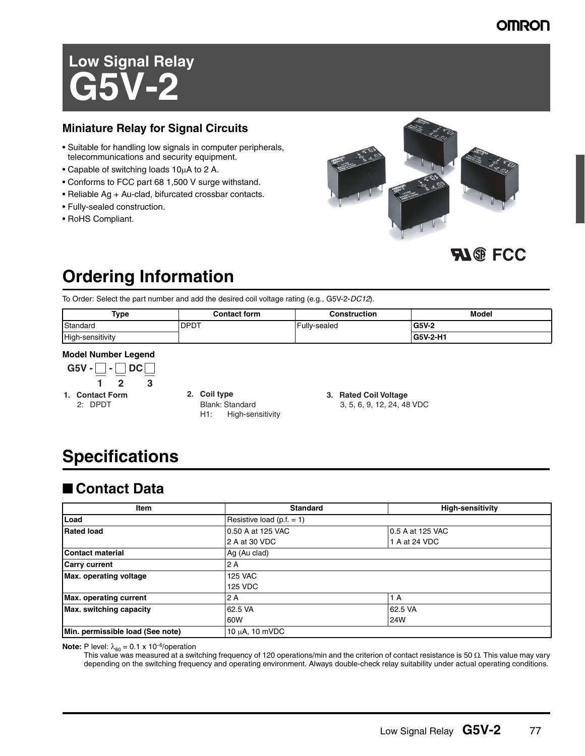### **OMRON**

# **Low Signal Relay G5V-2**

### **Miniature Relay for Signal Circuits**

- Suitable for handling low signals in computer peripherals, telecommunications and security equipment.
- Capable of switching loads 10μA to 2 A.
- Conforms to FCC part 68 1,500 V surge withstand.
- Reliable Ag + Au-clad, bifurcated crossbar contacts.
- Fully-sealed construction.
- RoHS Compliant.



## **FLCC** FCC

## **Ordering Information**

To Order: Select the part number and add the desired coil voltage rating (e.g., G5V-2-*DC12*).

| Type             | <b>Contact form</b> | Construction | <b>Model</b> |
|------------------|---------------------|--------------|--------------|
| Standard         | <b>DPDT</b>         | Fully-sealed | G5V-2        |
| High-sensitivity |                     |              | G5V-2-H1     |

### **Model Number Legend**

- **1. Contact Form** 2: DPDT **G5V -**  $\Box$  **- DC 1 2 3**
- **2. Coil type** Blank: Standard<br>H1: High-sen High-sensitivity

**3. Rated Coil Voltage** 3, 5, 6, 9, 12, 24, 48 VDC

## **Specifications**

## ■ **Contact Data**

| Item                             | <b>Standard</b>             | <b>High-sensitivity</b> |
|----------------------------------|-----------------------------|-------------------------|
| Load                             | Resistive load $(p.f. = 1)$ |                         |
| <b>Rated load</b>                | 0.50 A at 125 VAC           | 0.5 A at 125 VAC        |
|                                  | 2 A at 30 VDC               | 1 A at 24 VDC           |
| <b>Contact material</b>          | Ag (Au clad)                |                         |
| <b>Carry current</b>             | 2 A                         |                         |
| Max. operating voltage           | <b>125 VAC</b>              |                         |
|                                  | <b>125 VDC</b>              |                         |
| Max. operating current           | 12 A                        | 1 A                     |
| Max. switching capacity          | 62.5 VA                     | 62.5 VA                 |
|                                  | 60W                         | <b>24W</b>              |
| Min. permissible load (See note) | 10 µA, 10 mVDC              |                         |

**Note:** P level:  $\lambda_{60} = 0.1 \times 10^{-6}$ /operation

This value was measured at a switching frequency of 120 operations/min and the criterion of contact resistance is 50  $\Omega$ . This value may vary depending on the switching frequency and operating environment. Always double-check relay suitability under actual operating conditions.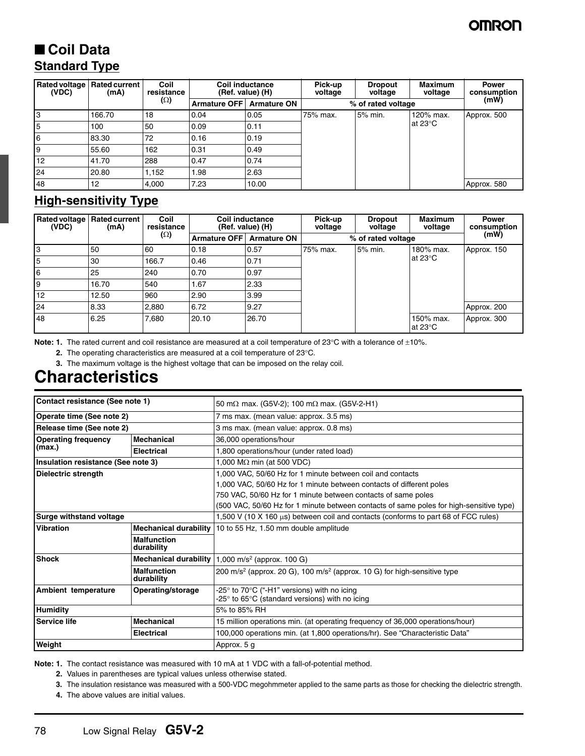## ■ **Coil Data Standard Type**

| (VDC) | Rated voltage   Rated current<br>(mA) | Coil<br>resistance |                                           | <b>Coil inductance</b><br>(Ref. value) (H) | Pick-up<br>voltage | <b>Dropout</b><br>voltage | <b>Maximum</b><br>voltage | <b>Power</b><br>consumption |
|-------|---------------------------------------|--------------------|-------------------------------------------|--------------------------------------------|--------------------|---------------------------|---------------------------|-----------------------------|
|       |                                       | $(\Omega)$         | <b>Armature OFF</b><br><b>Armature ON</b> |                                            | % of rated voltage |                           |                           | (mW)                        |
| 13    | 166.70                                | 18                 | 0.04                                      | 0.05                                       | 75% max.           | 5% min.                   | 120% max.                 | Approx. 500                 |
| 5     | 100                                   | 50                 | 0.09                                      | 0.11                                       |                    |                           | at 23 $\degree$ C         |                             |
| 6     | 83.30                                 | 72                 | 0.16                                      | 0.19                                       |                    |                           |                           |                             |
| 9     | 55.60                                 | 162                | 0.31                                      | 0.49                                       |                    |                           |                           |                             |
| 12    | 41.70                                 | 288                | 0.47                                      | 0.74                                       |                    |                           |                           |                             |
| 24    | 20.80                                 | 1.152              | .98                                       | 2.63                                       |                    |                           |                           |                             |
| 148   | 12                                    | 4.000              | 7.23                                      | 10.00                                      |                    |                           |                           | Approx. 580                 |

### **High-sensitivity Type**

| (VDC) | Rated voltage   Rated current  <br>(mA) | Coil<br>resistance |       | Coil inductance<br>(Ref. value) (H) | Pick-up<br>voltage | <b>Dropout</b><br>voltage | <b>Maximum</b><br>voltage  | <b>Power</b><br>consumption |
|-------|-----------------------------------------|--------------------|-------|-------------------------------------|--------------------|---------------------------|----------------------------|-----------------------------|
|       |                                         | $(\Omega)$         |       | Armature OFF   Armature ON          | % of rated voltage |                           |                            | (mW)                        |
| Iз    | 50                                      | 60                 | 0.18  | 0.57                                | 75% max.           | 5% min.                   | 180% max.                  | Approx. 150                 |
| 5     | 30                                      | 166.7              | 0.46  | 0.71                                |                    |                           | at 23 $\mathrm{^{\circ}C}$ |                             |
| l6    | 25                                      | 240                | 0.70  | 0.97                                |                    |                           |                            |                             |
| l9    | 16.70                                   | 540                | 1.67  | 2.33                                |                    |                           |                            |                             |
| 12    | 12.50                                   | 960                | 2.90  | 3.99                                |                    |                           |                            |                             |
| 24    | 8.33                                    | 2,880              | 6.72  | 9.27                                |                    |                           |                            | Approx. 200                 |
| 48    | 6.25                                    | 7.680              | 20.10 | 26.70                               |                    |                           | 150% max.<br>lat 23°C      | Approx. 300                 |

**Note: 1.** The rated current and coil resistance are measured at a coil temperature of 23°C with a tolerance of ±10%.

**2.** The operating characteristics are measured at a coil temperature of 23°C.

**3.** The maximum voltage is the highest voltage that can be imposed on the relay coil.

## **Characteristics**

| Contact resistance (See note 1)                  |                                  | 50 m $\Omega$ max. (G5V-2); 100 m $\Omega$ max. (G5V-2-H1)                                                                          |  |  |
|--------------------------------------------------|----------------------------------|-------------------------------------------------------------------------------------------------------------------------------------|--|--|
| Operate time (See note 2)                        |                                  | 7 ms max. (mean value: approx. 3.5 ms)                                                                                              |  |  |
| Release time (See note 2)                        |                                  | 3 ms max. (mean value: approx. 0.8 ms)                                                                                              |  |  |
| <b>Operating frequency</b>                       | <b>Mechanical</b>                | 36,000 operations/hour                                                                                                              |  |  |
| (max.)                                           | <b>Electrical</b>                | 1,800 operations/hour (under rated load)                                                                                            |  |  |
| Insulation resistance (See note 3)               |                                  | 1,000 M $\Omega$ min (at 500 VDC)                                                                                                   |  |  |
| <b>Dielectric strength</b>                       |                                  | 1,000 VAC, 50/60 Hz for 1 minute between coil and contacts                                                                          |  |  |
|                                                  |                                  | 1,000 VAC, 50/60 Hz for 1 minute between contacts of different poles                                                                |  |  |
|                                                  |                                  | 750 VAC, 50/60 Hz for 1 minute between contacts of same poles                                                                       |  |  |
|                                                  |                                  | (500 VAC, 50/60 Hz for 1 minute between contacts of same poles for high-sensitive type)                                             |  |  |
| Surge withstand voltage                          |                                  | 1,500 V (10 X 160 µs) between coil and contacts (conforms to part 68 of FCC rules)                                                  |  |  |
| <b>Mechanical durability</b><br><b>Vibration</b> |                                  | 10 to 55 Hz, 1.50 mm double amplitude                                                                                               |  |  |
|                                                  | <b>Malfunction</b><br>durability |                                                                                                                                     |  |  |
| <b>Shock</b>                                     |                                  | Mechanical durability   1,000 m/s <sup>2</sup> (approx. 100 G)                                                                      |  |  |
|                                                  | <b>Malfunction</b><br>durability | 200 m/s <sup>2</sup> (approx. 20 G), 100 m/s <sup>2</sup> (approx. 10 G) for high-sensitive type                                    |  |  |
| Ambient temperature                              | Operating/storage                | -25 $\degree$ to 70 $\degree$ C ("-H1" versions) with no icing<br>-25 $\degree$ to 65 $\degree$ C (standard versions) with no icing |  |  |
| <b>Humidity</b>                                  |                                  | 5% to 85% RH                                                                                                                        |  |  |
| Service life                                     | <b>Mechanical</b>                | 15 million operations min. (at operating frequency of 36,000 operations/hour)                                                       |  |  |
|                                                  | <b>Electrical</b>                | 100,000 operations min. (at 1,800 operations/hr). See "Characteristic Data"                                                         |  |  |
| Weight                                           |                                  | Approx. 5 g                                                                                                                         |  |  |

**Note: 1.** The contact resistance was measured with 10 mA at 1 VDC with a fall-of-potential method.

**2.** Values in parentheses are typical values unless otherwise stated.

**3.** The insulation resistance was measured with a 500-VDC megohmmeter applied to the same parts as those for checking the dielectric strength.

**4.** The above values are initial values.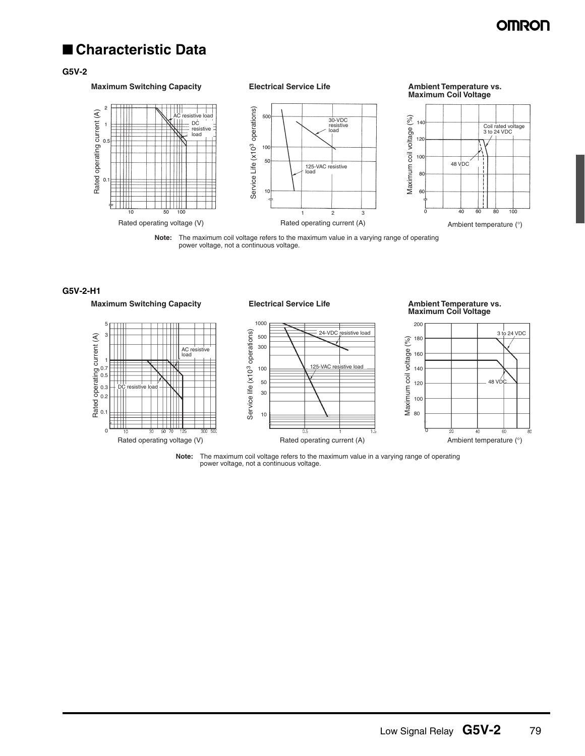### **OMRON**

## ■ **Characteristic Data**

**G5V-2**

Rated operating current (A)

Rated operating current  $(A)$ <br> $\frac{1}{2}$   $\qquad \qquad \frac{1}{2}$ 

#### **Maximum Switching Capacity**



## **Maximum Coil Voltage**



**Note:** The maximum coil voltage refers to the maximum value in a varying range of operating power voltage, not a continuous voltage.

### **G5V-2-H1**





#### **Electrical Service Life**



### **Maximum Coil Voltage**



**Note:** The maximum coil voltage refers to the maximum value in a varying range of operating power voltage, not a continuous voltage.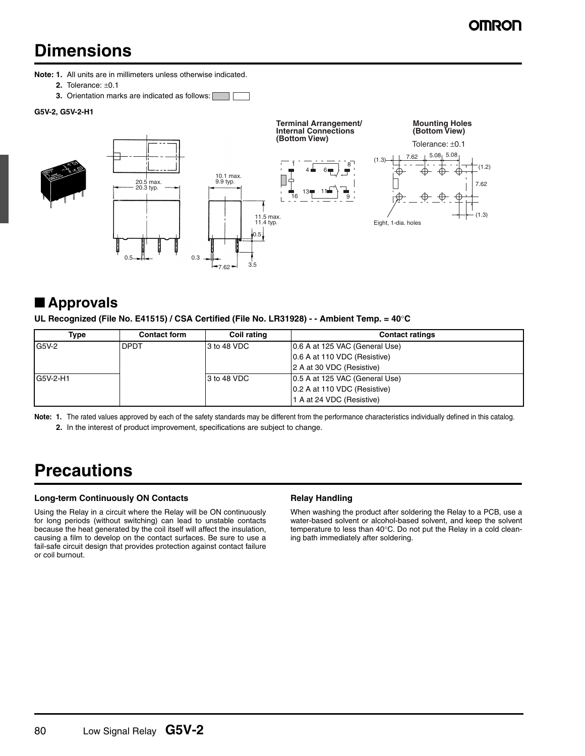## **Dimensions**

**Note: 1.** All units are in millimeters unless otherwise indicated.

- **2.** Tolerance: ±0.1
- **3.** Orientation marks are indicated as follows:

**G5V-2, G5V-2-H1**



### ■ **Approvals**

**UL Recognized (File No. E41515) / CSA Certified (File No. LR31928) - - Ambient Temp. = 40**°**C**

| Type     | <b>Contact form</b> | <b>Coil rating</b> | <b>Contact ratings</b>         |
|----------|---------------------|--------------------|--------------------------------|
| G5V-2    | <b>DPDT</b>         | l3 to 48 VDC       | 0.6 A at 125 VAC (General Use) |
|          |                     |                    | 0.6 A at 110 VDC (Resistive)   |
|          |                     |                    | 2 A at 30 VDC (Resistive)      |
| G5V-2-H1 |                     | 3 to 48 VDC        | 0.5 A at 125 VAC (General Use) |
|          |                     |                    | 0.2 A at 110 VDC (Resistive)   |
|          |                     |                    | 1 A at 24 VDC (Resistive)      |

**Note: 1.** The rated values approved by each of the safety standards may be different from the performance characteristics individually defined in this catalog. **2.** In the interest of product improvement, specifications are subject to change.

## **Precautions**

### **Long-term Continuously ON Contacts**

Using the Relay in a circuit where the Relay will be ON continuously for long periods (without switching) can lead to unstable contacts because the heat generated by the coil itself will affect the insulation, causing a film to develop on the contact surfaces. Be sure to use a fail-safe circuit design that provides protection against contact failure or coil burnout.

### **Relay Handling**

When washing the product after soldering the Relay to a PCB, use a water-based solvent or alcohol-based solvent, and keep the solvent temperature to less than 40°C. Do not put the Relay in a cold cleaning bath immediately after soldering.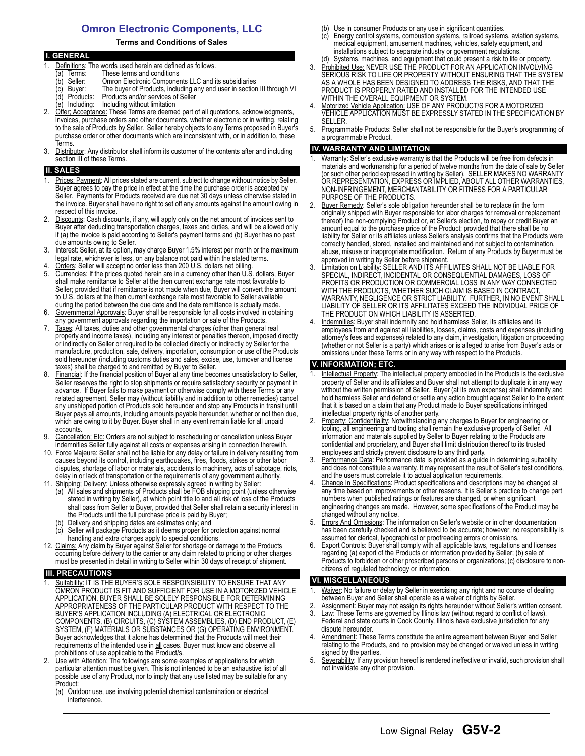### **Omron Electronic Components, LLC**

### **Terms and Conditions of Sales**

|    | <b>I. GENERAL</b>                                                                         |
|----|-------------------------------------------------------------------------------------------|
|    | Definitions: The words used herein are defined as follows.                                |
|    | These terms and conditions<br>Terms:<br>a)                                                |
|    | Omron Electronic Components LLC and its subsidiaries<br>Seller:<br>(b                     |
|    | The buyer of Products, including any end user in section III through VI<br>(c) Buyer:     |
|    | Products and/or services of Seller<br>(d) Products:                                       |
|    | (e) Including: Including without limitation                                               |
| 2. | Offer: Acceptance: These Terms are deemed part of all quotations, acknowledgments,        |
|    | invoices, purchase orders and other documents, whether electronic or in writing, relating |
|    | to the sale of Products by Seller. Seller hereby objects to any Terms proposed in Buyer's |
|    | purchase order or other documents which are inconsistent with, or in addition to, these   |
|    | Terms.                                                                                    |

3. Distributor: Any distributor shall inform its customer of the contents after and including section III of these Terms.

#### **SALES**

- Prices: Payment: All prices stated are current, subject to change without notice by Seller. Buyer agrees to pay the price in effect at the time the purchase order is accepted by Seller. Payments for Products received are due net 30 days unless otherwise stated in the invoice. Buyer shall have no right to set off any amounts against the amount owing in respect of this invoice.
- Discounts: Cash discounts, if any, will apply only on the net amount of invoices sent to Buyer after deducting transportation charges, taxes and duties, and will be allowed only if (a) the invoice is paid according to Seller's payment terms and (b) Buyer has no past due amounts owing to Seller.
- 3. Interest: Seller, at its option, may charge Buyer 1.5% interest per month or the maximum legal rate, whichever is less, on any balance not paid within the stated terms.
- 4. Orders: Seller will accept no order less than 200 U.S. dollars net billing.<br>5. Currencies: If the prices quoted herein are in a currency other than U.S. Currencies: If the prices quoted herein are in a currency other than U.S. dollars, Buyer shall make remittance to Seller at the then current exchange rate most favorable to Seller; provided that if remittance is not made when due, Buyer will convert the amount to U.S. dollars at the then current exchange rate most favorable to Seller available during the period between the due date and the date remittance is actually made.
- 6. Governmental Approvals: Buyer shall be responsible for all costs involved in obtaining any government approvals regarding the importation or sale of the Products.
- 7. Taxes: All taxes, duties and other governmental charges (other than general real property and income taxes), including any interest or penalties thereon, imposed directly or indirectly on Seller or required to be collected directly or indirectly by Seller for the manufacture, production, sale, delivery, importation, consumption or use of the Products sold hereunder (including customs duties and sales, excise, use, turnover and license taxes) shall be charged to and remitted by Buyer to Seller.
- 8. Financial: If the financial position of Buyer at any time becomes unsatisfactory to Seller, Seller reserves the right to stop shipments or require satisfactory security or payment in advance. If Buyer fails to make payment or otherwise comply with these Terms or any related agreement, Seller may (without liability and in addition to other remedies) cancel any unshipped portion of Products sold hereunder and stop any Products in transit until Buyer pays all amounts, including amounts payable hereunder, whether or not then due, which are owing to it by Buyer. Buyer shall in any event remain liable for all unpaid accounts.
- 9. Cancellation; Etc: Orders are not subject to rescheduling or cancellation unless Buyer indemnifies Seller fully against all costs or expenses arising in connection therewith.
- 10. Force Majeure: Seller shall not be liable for any delay or failure in delivery resulting from causes beyond its control, including earthquakes, fires, floods, strikes or other labor disputes, shortage of labor or materials, accidents to machinery, acts of sabotage, riots, delay in or lack of transportation or the requirements of any government authority.
- 11. Shipping; Delivery: Unless otherwise expressly agreed in writing by Seller:
	- (a) All sales and shipments of Products shall be FOB shipping point (unless otherwise stated in writing by Seller), at which point title to and all risk of loss of the Products shall pass from Seller to Buyer, provided that Seller shall retain a security interest in the Products until the full purchase price is paid by Buyer;
	- Delivery and shipping dates are estimates only; and
	- Seller will package Products as it deems proper for protection against normal handling and extra charges apply to special conditions.
- 12. Claims: Any claim by Buyer against Seller for shortage or damage to the Products occurring before delivery to the carrier or any claim related to pricing or other charges must be presented in detail in writing to Seller within 30 days of receipt of shipment.

#### **III. PRECAUTIONS**

- Suitability: IT IS THE BUYER'S SOLE RESPOINSIBILITY TO ENSURE THAT ANY OMRON PRODUCT IS FIT AND SUFFICIENT FOR USE IN A MOTORIZED VEHICLE APPLICATION. BUYER SHALL BE SOLELY RESPONSIBLE FOR DETERMINING APPROPRIATENESS OF THE PARTICULAR PRODUCT WITH RESPECT TO THE BUYER'S APPLICATION INCLUDING (A) ELECTRICAL OR ELECTRONIC COMPONENTS, (B) CIRCUITS, (C) SYSTEM ASSEMBLIES, (D) END PRODUCT, (E) SYSTEM, (F) MATERIALS OR SUBSTANCES OR (G) OPERATING ENVIRONMENT. Buyer acknowledges that it alone has determined that the Products will meet their requirements of the intended use in all cases. Buyer must know and observe all prohibitions of use applicable to the Product/s.
- 2. Use with Attention: The followings are some examples of applications for which particular attention must be given. This is not intended to be an exhaustive list of all possible use of any Product, nor to imply that any use listed may be suitable for any Product:
	- (a) Outdoor use, use involving potential chemical contamination or electrical interference.
- (b) Use in consumer Products or any use in significant quantities.
- (c) Energy control systems, combustion systems, railroad systems, aviation systems, medical equipment, amusement machines, vehicles, safety equipment, and installations subject to separate industry or government regulations. (d) Systems, machines, and equipment that could present a risk to life or property.
- 3. Prohibited Use: NEVER USE THE PRODUCT FOR AN APPLICATION INVOLVING SERIOUS RISK TO LIFE OR PROPERTY WITHOUT ENSURING THAT THE SYSTEM AS A WHOLE HAS BEEN DESIGNED TO ADDRESS THE RISKS, AND THAT THE PRODUCT IS PROPERLY RATED AND INSTALLED FOR THE INTENDED USE WITHIN THE OVERALL EQUIPMENT OR SYSTEM.
- 4. Motorized Vehicle Application: USE OF ANY PRODUCT/S FOR A MOTORIZED VEHICLE APPLICATION MUST BE EXPRESSLY STATED IN THE SPECIFICATION BY SELLER.
- 5. Programmable Products: Seller shall not be responsible for the Buyer's programming of a programmable Product.

#### **IV. WARRANTY AND LIMITATION**

- Warranty: Seller's exclusive warranty is that the Products will be free from defects in materials and workmanship for a period of twelve months from the date of sale by Seller (or such other period expressed in writing by Seller). SELLER MAKES NO WARRANTY OR REPRESENTATION, EXPRESS OR IMPLIED, ABOUT ALL OTHER WARRANTIES, NON-INFRINGEMENT, MERCHANTABILITY OR FITNESS FOR A PARTICULAR PURPOSE OF THE PRODUCTS.
- 2. Buyer Remedy: Seller's sole obligation hereunder shall be to replace (in the form originally shipped with Buyer responsible for labor charges for removal or replacement thereof) the non-complying Product or, at Seller's election, to repay or credit Buyer an amount equal to the purchase price of the Product; provided that there shall be no liability for Seller or its affiliates unless Seller's analysis confirms that the Products were correctly handled, stored, installed and maintained and not subject to contamination, abuse, misuse or inappropriate modification. Return of any Products by Buyer must be approved in writing by Seller before shipment.
- 3. Limitation on Liability: SELLER AND ITS AFFILIATES SHALL NOT BE LIABLE FOR SPECIAL, INDIRECT, INCIDENTAL OR CONSEQUENTIAL DAMAGES, LOSS OF PROFITS OR PRODUCTION OR COMMERCIAL LOSS IN ANY WAY CONNECTED WITH THE PRODUCTS, WHETHER SUCH CLAIM IS BASED IN CONTRACT, WARRANTY, NEGLIGENCE OR STRICT LIABILITY. FURTHER, IN NO EVENT SHALL LIABILITY OF SELLER OR ITS AFFILITATES EXCEED THE INDIVIDUAL PRICE OF THE PRODUCT ON WHICH LIABILITY IS ASSERTED.
- Indemnities: Buyer shall indemnify and hold harmless Seller, its affiliates and its employees from and against all liabilities, losses, claims, costs and expenses (including attorney's fees and expenses) related to any claim, investigation, litigation or proceeding (whether or not Seller is a party) which arises or is alleged to arise from Buyer's acts or omissions under these Terms or in any way with respect to the Products.

#### **V. INFORMATION; ETC.**

- 1. Intellectual Property: The intellectual property embodied in the Products is the exclusive property of Seller and its affiliates and Buyer shall not attempt to duplicate it in any way without the written permission of Seller. Buyer (at its own expense) shall indemnify and hold harmless Seller and defend or settle any action brought against Seller to the extent that it is based on a claim that any Product made to Buyer specifications infringed intellectual property rights of another party.
- Property: Confidentiality: Notwithstanding any charges to Buyer for engineering or tooling, all engineering and tooling shall remain the exclusive property of Seller. All information and materials supplied by Seller to Buyer relating to the Products are confidential and proprietary, and Buyer shall limit distribution thereof to its trusted employees and strictly prevent disclosure to any third party.
- 3. Performance Data: Performance data is provided as a guide in determining suitability and does not constitute a warranty. It may represent the result of Seller's test conditions, and the users must correlate it to actual application requirements.
- Change In Specifications: Product specifications and descriptions may be changed at any time based on improvements or other reasons. It is Seller's practice to change part numbers when published ratings or features are changed, or when significant engineering changes are made. However, some specifications of the Product may be changed without any notice.
- 5. Errors And Omissions: The information on Seller's website or in other documentation has been carefully checked and is believed to be accurate; however, no responsibility is assumed for clerical, typographical or proofreading errors or omissions.
- 6. Export Controls: Buyer shall comply with all applicable laws, regulations and licenses regarding (a) export of the Products or information provided by Seller; (b) sale of Products to forbidden or other proscribed persons or organizations; (c) disclosure to noncitizens of regulated technology or information.

#### **VI. MISCELLANEOUS**

- Waiver: No failure or delay by Seller in exercising any right and no course of dealing between Buyer and Seller shall operate as a waiver of rights by Seller.
- 2. Assignment: Buyer may not assign its rights hereunder without Seller's written consent. 3. Law: These Terms are governed by Illinois law (without regard to conflict of laws).
- Federal and state courts in Cook County, Illinois have exclusive jurisdiction for any dispute hereunder. 4. Amendment: These Terms constitute the entire agreement between Buyer and Seller
- relating to the Products, and no provision may be changed or waived unless in writing signed by the parties.
- 5. Severability: If any provision hereof is rendered ineffective or invalid, such provision shall not invalidate any other provision.